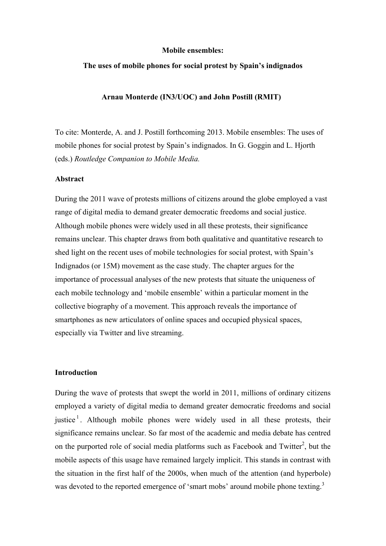#### **Mobile ensembles:**

## **The uses of mobile phones for social protest by Spain's indignados**

## **Arnau Monterde (IN3/UOC) and John Postill (RMIT)**

To cite: Monterde, A. and J. Postill forthcoming 2013. Mobile ensembles: The uses of mobile phones for social protest by Spain's indignados. In G. Goggin and L. Hjorth (eds.) *Routledge Companion to Mobile Media.*

### **Abstract**

During the 2011 wave of protests millions of citizens around the globe employed a vast range of digital media to demand greater democratic freedoms and social justice. Although mobile phones were widely used in all these protests, their significance remains unclear. This chapter draws from both qualitative and quantitative research to shed light on the recent uses of mobile technologies for social protest, with Spain's Indignados (or 15M) movement as the case study. The chapter argues for the importance of processual analyses of the new protests that situate the uniqueness of each mobile technology and 'mobile ensemble' within a particular moment in the collective biography of a movement. This approach reveals the importance of smartphones as new articulators of online spaces and occupied physical spaces, especially via Twitter and live streaming.

### **Introduction**

During the wave of protests that swept the world in 2011, millions of ordinary citizens employed a variety of digital media to demand greater democratic freedoms and social justice<sup>1</sup>. Although mobile phones were widely used in all these protests, their significance remains unclear. So far most of the academic and media debate has centred on the purported role of social media platforms such as Facebook and Twitter<sup>2</sup>, but the mobile aspects of this usage have remained largely implicit. This stands in contrast with the situation in the first half of the 2000s, when much of the attention (and hyperbole) was devoted to the reported emergence of 'smart mobs' around mobile phone texting.<sup>3</sup>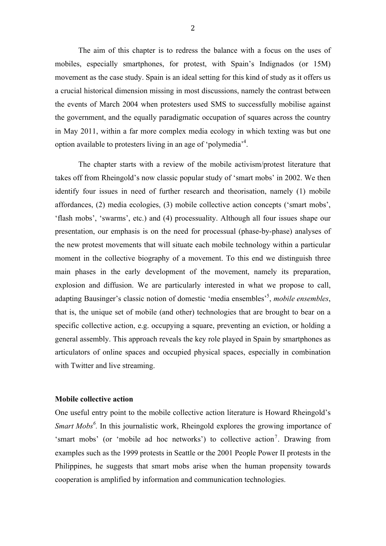The aim of this chapter is to redress the balance with a focus on the uses of mobiles, especially smartphones, for protest, with Spain's Indignados (or 15M) movement as the case study. Spain is an ideal setting for this kind of study as it offers us a crucial historical dimension missing in most discussions, namely the contrast between the events of March 2004 when protesters used SMS to successfully mobilise against the government, and the equally paradigmatic occupation of squares across the country in May 2011, within a far more complex media ecology in which texting was but one option available to protesters living in an age of 'polymedia'<sup>4</sup>.

The chapter starts with a review of the mobile activism/protest literature that takes off from Rheingold's now classic popular study of 'smart mobs' in 2002. We then identify four issues in need of further research and theorisation, namely (1) mobile affordances, (2) media ecologies, (3) mobile collective action concepts ('smart mobs', 'flash mobs', 'swarms', etc.) and (4) processuality. Although all four issues shape our presentation, our emphasis is on the need for processual (phase-by-phase) analyses of the new protest movements that will situate each mobile technology within a particular moment in the collective biography of a movement. To this end we distinguish three main phases in the early development of the movement, namely its preparation, explosion and diffusion. We are particularly interested in what we propose to call, adapting Bausinger's classic notion of domestic 'media ensembles'<sup>5</sup>, mobile ensembles, that is, the unique set of mobile (and other) technologies that are brought to bear on a specific collective action, e.g. occupying a square, preventing an eviction, or holding a general assembly. This approach reveals the key role played in Spain by smartphones as articulators of online spaces and occupied physical spaces, especially in combination with Twitter and live streaming.

### **Mobile collective action**

One useful entry point to the mobile collective action literature is Howard Rheingold's *Smart Mobs<sup>6</sup>*. In this journalistic work, Rheingold explores the growing importance of 'smart mobs' (or 'mobile ad hoc networks') to collective action<sup>7</sup>. Drawing from examples such as the 1999 protests in Seattle or the 2001 People Power II protests in the Philippines, he suggests that smart mobs arise when the human propensity towards cooperation is amplified by information and communication technologies.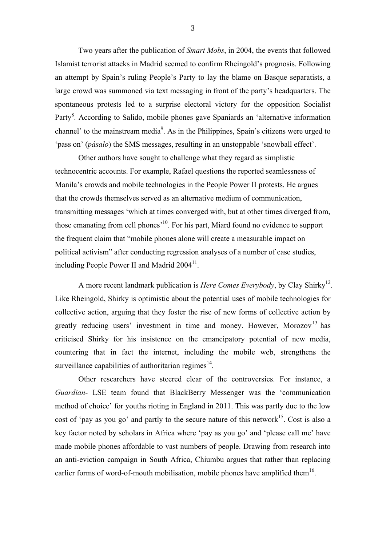Two years after the publication of *Smart Mobs*, in 2004, the events that followed Islamist terrorist attacks in Madrid seemed to confirm Rheingold's prognosis. Following an attempt by Spain's ruling People's Party to lay the blame on Basque separatists, a large crowd was summoned via text messaging in front of the party's headquarters. The spontaneous protests led to a surprise electoral victory for the opposition Socialist Party<sup>8</sup>. According to Salido, mobile phones gave Spaniards an 'alternative information channel' to the mainstream media<sup>9</sup>. As in the Philippines, Spain's citizens were urged to 'pass on' (*pásalo*) the SMS messages, resulting in an unstoppable 'snowball effect'.

Other authors have sought to challenge what they regard as simplistic technocentric accounts. For example, Rafael questions the reported seamlessness of Manila's crowds and mobile technologies in the People Power II protests. He argues that the crowds themselves served as an alternative medium of communication, transmitting messages 'which at times converged with, but at other times diverged from, those emanating from cell phones<sup>'10</sup>. For his part, Miard found no evidence to support the frequent claim that "mobile phones alone will create a measurable impact on political activism" after conducting regression analyses of a number of case studies, including People Power II and Madrid  $2004<sup>11</sup>$ .

A more recent landmark publication is *Here Comes Everybody*, by Clay Shirky<sup>12</sup>. Like Rheingold, Shirky is optimistic about the potential uses of mobile technologies for collective action, arguing that they foster the rise of new forms of collective action by greatly reducing users' investment in time and money. However, Morozov<sup>13</sup> has criticised Shirky for his insistence on the emancipatory potential of new media, countering that in fact the internet, including the mobile web, strengthens the surveillance capabilities of authoritarian regimes $^{14}$ .

Other researchers have steered clear of the controversies. For instance, a *Guardian*- LSE team found that BlackBerry Messenger was the 'communication method of choice' for youths rioting in England in 2011. This was partly due to the low cost of 'pay as you go' and partly to the secure nature of this network<sup>15</sup>. Cost is also a key factor noted by scholars in Africa where 'pay as you go' and 'please call me' have made mobile phones affordable to vast numbers of people. Drawing from research into an anti-eviction campaign in South Africa, Chiumbu argues that rather than replacing earlier forms of word-of-mouth mobilisation, mobile phones have amplified them $16$ .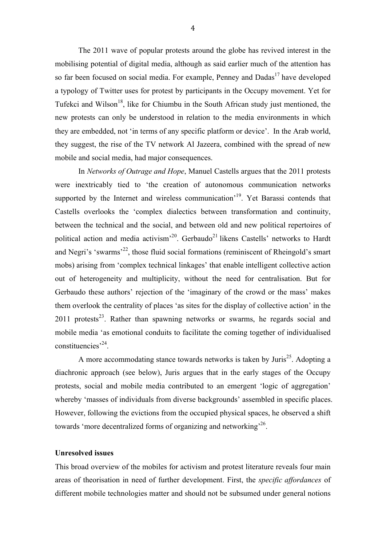The 2011 wave of popular protests around the globe has revived interest in the mobilising potential of digital media, although as said earlier much of the attention has so far been focused on social media. For example, Penney and Dadas<sup>17</sup> have developed a typology of Twitter uses for protest by participants in the Occupy movement. Yet for Tufekci and Wilson<sup>18</sup>, like for Chiumbu in the South African study just mentioned, the new protests can only be understood in relation to the media environments in which they are embedded, not 'in terms of any specific platform or device'. In the Arab world, they suggest, the rise of the TV network Al Jazeera, combined with the spread of new mobile and social media, had major consequences.

In *Networks of Outrage and Hope*, Manuel Castells argues that the 2011 protests were inextricably tied to 'the creation of autonomous communication networks supported by the Internet and wireless communication<sup>'19</sup>. Yet Barassi contends that Castells overlooks the 'complex dialectics between transformation and continuity, between the technical and the social, and between old and new political repertoires of political action and media activism<sup> $20$ </sup>. Gerbaudo<sup>21</sup> likens Castells' networks to Hardt and Negri's 'swarms'<sup>22</sup>, those fluid social formations (reminiscent of Rheingold's smart mobs) arising from 'complex technical linkages' that enable intelligent collective action out of heterogeneity and multiplicity, without the need for centralisation. But for Gerbaudo these authors' rejection of the 'imaginary of the crowd or the mass' makes them overlook the centrality of places 'as sites for the display of collective action' in the 2011 protests<sup>23</sup>. Rather than spawning networks or swarms, he regards social and mobile media 'as emotional conduits to facilitate the coming together of individualised constituencies<sup>,24</sup>.

A more accommodating stance towards networks is taken by Juris<sup>25</sup>. Adopting a diachronic approach (see below), Juris argues that in the early stages of the Occupy protests, social and mobile media contributed to an emergent 'logic of aggregation' whereby 'masses of individuals from diverse backgrounds' assembled in specific places. However, following the evictions from the occupied physical spaces, he observed a shift towards 'more decentralized forms of organizing and networking<sup>,26</sup>.

## **Unresolved issues**

 This broad overview of the mobiles for activism and protest literature reveals four main areas of theorisation in need of further development. First, the *specific affordances* of different mobile technologies matter and should not be subsumed under general notions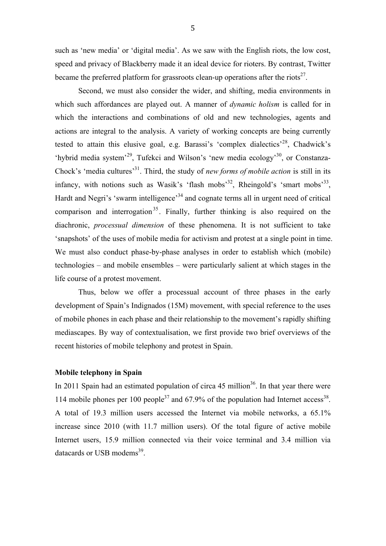such as 'new media' or 'digital media'. As we saw with the English riots, the low cost, speed and privacy of Blackberry made it an ideal device for rioters. By contrast, Twitter became the preferred platform for grassroots clean-up operations after the riots<sup>27</sup>.

Second, we must also consider the wider, and shifting, media environments in which such affordances are played out. A manner of *dynamic holism* is called for in which the interactions and combinations of old and new technologies, agents and actions are integral to the analysis. A variety of working concepts are being currently tested to attain this elusive goal, e.g. Barassi's 'complex dialectics'<sup>28</sup>, Chadwick's 'hybrid media system'<sup>29</sup>, Tufekci and Wilson's 'new media ecology'<sup>30</sup>, or Constanza-Chock's 'media cultures'<sup>31</sup>. Third, the study of *new forms of mobile action* is still in its infancy, with notions such as Wasik's 'flash mobs'<sup>32</sup>, Rheingold's 'smart mobs'<sup>33</sup>, Hardt and Negri's 'swarm intelligence'<sup>34</sup> and cognate terms all in urgent need of critical comparison and interrogation<sup>35</sup>. Finally, further thinking is also required on the diachronic, *processual dimension* of these phenomena. It is not sufficient to take 'snapshots' of the uses of mobile media for activism and protest at a single point in time. We must also conduct phase-by-phase analyses in order to establish which (mobile) technologies – and mobile ensembles – were particularly salient at which stages in the life course of a protest movement.

Thus, below we offer a processual account of three phases in the early development of Spain's Indignados (15M) movement, with special reference to the uses of mobile phones in each phase and their relationship to the movement's rapidly shifting mediascapes. By way of contextualisation, we first provide two brief overviews of the recent histories of mobile telephony and protest in Spain.

# **Mobile telephony in Spain**

In 2011 Spain had an estimated population of circa  $45$  million<sup>36</sup>. In that year there were 114 mobile phones per 100 people<sup>37</sup> and 67.9% of the population had Internet  $access^{38}$ . A total of 19.3 million users accessed the Internet via mobile networks, a 65.1% increase since 2010 (with 11.7 million users). Of the total figure of active mobile Internet users, 15.9 million connected via their voice terminal and 3.4 million via datacards or USB modems<sup>39</sup>.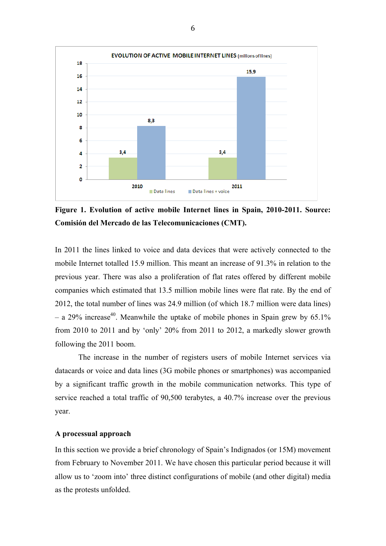

**Figure 1. Evolution of active mobile Internet lines in Spain, 2010-2011. Source: Comisión del Mercado de las Telecomunicaciones (CMT).** 

In 2011 the lines linked to voice and data devices that were actively connected to the mobile Internet totalled 15.9 million. This meant an increase of 91.3% in relation to the previous year. There was also a proliferation of flat rates offered by different mobile companies which estimated that 13.5 million mobile lines were flat rate. By the end of 2012, the total number of lines was 24.9 million (of which 18.7 million were data lines) – a 29% increase<sup>40</sup>. Meanwhile the uptake of mobile phones in Spain grew by 65.1% from 2010 to 2011 and by 'only' 20% from 2011 to 2012, a markedly slower growth following the 2011 boom.

The increase in the number of registers users of mobile Internet services via datacards or voice and data lines (3G mobile phones or smartphones) was accompanied by a significant traffic growth in the mobile communication networks. This type of service reached a total traffic of 90,500 terabytes, a 40.7% increase over the previous year.

## **A processual approach**

In this section we provide a brief chronology of Spain's Indignados (or 15M) movement from February to November 2011. We have chosen this particular period because it will allow us to 'zoom into' three distinct configurations of mobile (and other digital) media as the protests unfolded.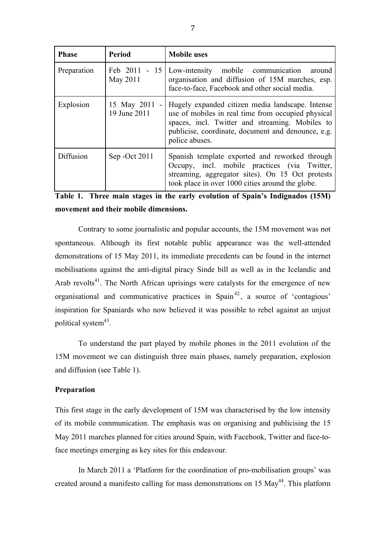| <b>Phase</b> | <b>Period</b>                 | <b>Mobile uses</b>                                                                                                                                                                                                                |
|--------------|-------------------------------|-----------------------------------------------------------------------------------------------------------------------------------------------------------------------------------------------------------------------------------|
| Preparation  | Feb 2011 - 15<br>May 2011     | Low-intensity mobile communication<br>around<br>organisation and diffusion of 15M marches, esp.<br>face-to-face, Facebook and other social media.                                                                                 |
| Explosion    | 15 May 2011 -<br>19 June 2011 | Hugely expanded citizen media landscape. Intense<br>use of mobiles in real time from occupied physical<br>spaces, incl. Twitter and streaming. Mobiles to<br>publicise, coordinate, document and denounce, e.g.<br>police abuses. |
| Diffusion    | Sep - Oct 2011                | Spanish template exported and reworked through<br>Occupy, incl. mobile practices (via Twitter,<br>streaming, aggregator sites). On 15 Oct protests<br>took place in over 1000 cities around the globe.                            |

|                                       |  |  |  |  |  | Table 1. Three main stages in the early evolution of Spain's Indignados (15M) |  |  |  |
|---------------------------------------|--|--|--|--|--|-------------------------------------------------------------------------------|--|--|--|
| movement and their mobile dimensions. |  |  |  |  |  |                                                                               |  |  |  |

Contrary to some journalistic and popular accounts, the 15M movement was not spontaneous. Although its first notable public appearance was the well-attended demonstrations of 15 May 2011, its immediate precedents can be found in the internet mobilisations against the anti-digital piracy Sinde bill as well as in the Icelandic and Arab revolts<sup>41</sup>. The North African uprisings were catalysts for the emergence of new organisational and communicative practices in  $Span<sup>42</sup>$ , a source of 'contagious' inspiration for Spaniards who now believed it was possible to rebel against an unjust political system<sup>43</sup>.

To understand the part played by mobile phones in the 2011 evolution of the 15M movement we can distinguish three main phases, namely preparation, explosion and diffusion (see Table 1).

# **Preparation**

This first stage in the early development of 15M was characterised by the low intensity of its mobile communication. The emphasis was on organising and publicising the 15 May 2011 marches planned for cities around Spain, with Facebook, Twitter and face-toface meetings emerging as key sites for this endeavour.

In March 2011 a 'Platform for the coordination of pro-mobilisation groups' was created around a manifesto calling for mass demonstrations on 15 May<sup>44</sup>. This platform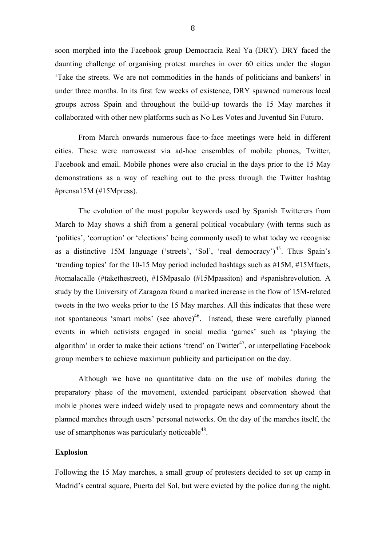soon morphed into the Facebook group Democracia Real Ya (DRY). DRY faced the daunting challenge of organising protest marches in over 60 cities under the slogan 'Take the streets. We are not commodities in the hands of politicians and bankers' in under three months. In its first few weeks of existence, DRY spawned numerous local groups across Spain and throughout the build-up towards the 15 May marches it collaborated with other new platforms such as No Les Votes and Juventud Sin Futuro.

From March onwards numerous face-to-face meetings were held in different cities. These were narrowcast via ad-hoc ensembles of mobile phones, Twitter, Facebook and email. Mobile phones were also crucial in the days prior to the 15 May demonstrations as a way of reaching out to the press through the Twitter hashtag #prensa15M (#15Mpress).

The evolution of the most popular keywords used by Spanish Twitterers from March to May shows a shift from a general political vocabulary (with terms such as 'politics', 'corruption' or 'elections' being commonly used) to what today we recognise as a distinctive 15M language ('streets', 'Sol', 'real democracy')<sup>45</sup>. Thus Spain's 'trending topics' for the 10-15 May period included hashtags such as #15M, #15Mfacts, #tomalacalle (#takethestreet), #15Mpasalo (#15Mpassiton) and #spanishrevolution. A study by the University of Zaragoza found a marked increase in the flow of 15M-related tweets in the two weeks prior to the 15 May marches. All this indicates that these were not spontaneous 'smart mobs' (see above)<sup>46</sup>. Instead, these were carefully planned events in which activists engaged in social media 'games' such as 'playing the algorithm' in order to make their actions 'trend' on Twitter<sup>47</sup>, or interpellating Facebook group members to achieve maximum publicity and participation on the day.

Although we have no quantitative data on the use of mobiles during the preparatory phase of the movement, extended participant observation showed that mobile phones were indeed widely used to propagate news and commentary about the planned marches through users' personal networks. On the day of the marches itself, the use of smartphones was particularly noticeable<sup>48</sup>.

## **Explosion**

Following the 15 May marches, a small group of protesters decided to set up camp in Madrid's central square, Puerta del Sol, but were evicted by the police during the night.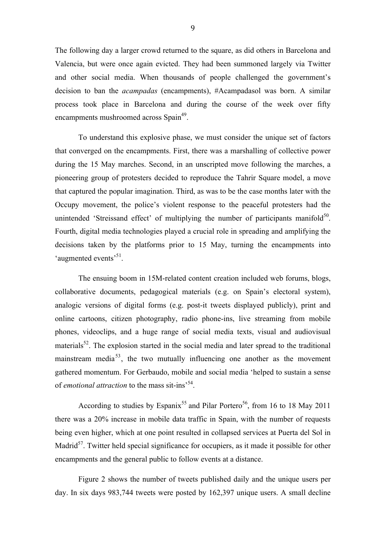The following day a larger crowd returned to the square, as did others in Barcelona and Valencia, but were once again evicted. They had been summoned largely via Twitter and other social media. When thousands of people challenged the government's decision to ban the *acampadas* (encampments), #Acampadasol was born. A similar process took place in Barcelona and during the course of the week over fifty encampments mushroomed across Spain<sup>49</sup>.

To understand this explosive phase, we must consider the unique set of factors that converged on the encampments. First, there was a marshalling of collective power during the 15 May marches. Second, in an unscripted move following the marches, a pioneering group of protesters decided to reproduce the Tahrir Square model, a move that captured the popular imagination. Third, as was to be the case months later with the Occupy movement, the police's violent response to the peaceful protesters had the unintended 'Streissand effect' of multiplying the number of participants manifold<sup>50</sup>. Fourth, digital media technologies played a crucial role in spreading and amplifying the decisions taken by the platforms prior to 15 May, turning the encampments into 'augmented events'<sup>51</sup>.

The ensuing boom in 15M-related content creation included web forums, blogs, collaborative documents, pedagogical materials (e.g. on Spain's electoral system), analogic versions of digital forms (e.g. post-it tweets displayed publicly), print and online cartoons, citizen photography, radio phone-ins, live streaming from mobile phones, videoclips, and a huge range of social media texts, visual and audiovisual materials<sup>52</sup>. The explosion started in the social media and later spread to the traditional mainstream media<sup>53</sup>, the two mutually influencing one another as the movement gathered momentum. For Gerbaudo, mobile and social media 'helped to sustain a sense of *emotional attraction* to the mass sit-ins<sup>54</sup>.

According to studies by Espanix<sup>55</sup> and Pilar Portero<sup>56</sup>, from 16 to 18 May 2011 there was a 20% increase in mobile data traffic in Spain, with the number of requests being even higher, which at one point resulted in collapsed services at Puerta del Sol in Madrid<sup>57</sup>. Twitter held special significance for occupiers, as it made it possible for other encampments and the general public to follow events at a distance.

Figure 2 shows the number of tweets published daily and the unique users per day. In six days 983,744 tweets were posted by 162,397 unique users. A small decline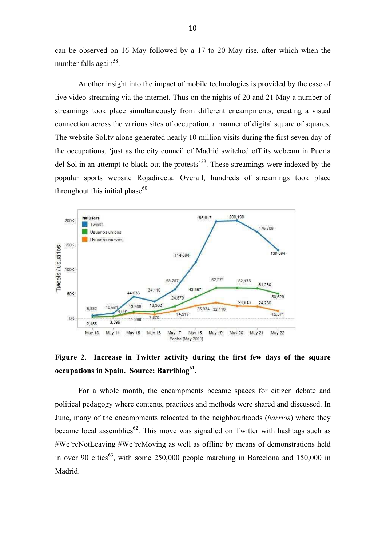can be observed on 16 May followed by a 17 to 20 May rise, after which when the number falls again<sup>58</sup>.

Another insight into the impact of mobile technologies is provided by the case of live video streaming via the internet. Thus on the nights of 20 and 21 May a number of streamings took place simultaneously from different encampments, creating a visual connection across the various sites of occupation, a manner of digital square of squares. The website Sol.tv alone generated nearly 10 million visits during the first seven day of the occupations, 'just as the city council of Madrid switched off its webcam in Puerta del Sol in an attempt to black-out the protests<sup>59</sup>. These streamings were indexed by the popular sports website Rojadirecta. Overall, hundreds of streamings took place throughout this initial phase $60$ .



**Figure 2. Increase in Twitter activity during the first few days of the square occupations in Spain. Source: Barriblog<sup>61</sup> .**

For a whole month, the encampments became spaces for citizen debate and political pedagogy where contents, practices and methods were shared and discussed. In June, many of the encampments relocated to the neighbourhoods (*barrios*) where they became local assemblies<sup>62</sup>. This move was signalled on Twitter with hashtags such as #We'reNotLeaving #We'reMoving as well as offline by means of demonstrations held in over 90 cities<sup>63</sup>, with some 250,000 people marching in Barcelona and 150,000 in Madrid.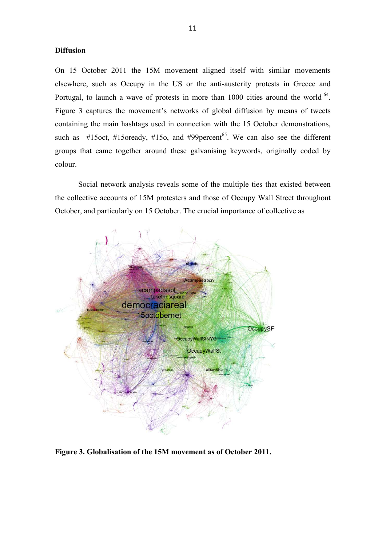# **Diffusion**

On 15 October 2011 the 15M movement aligned itself with similar movements elsewhere, such as Occupy in the US or the anti-austerity protests in Greece and Portugal, to launch a wave of protests in more than  $1000$  cities around the world  $^{64}$ . Figure 3 captures the movement's networks of global diffusion by means of tweets containing the main hashtags used in connection with the 15 October demonstrations, such as #15oct, #15oready, #15o, and #99 $percent^{65}$ . We can also see the different groups that came together around these galvanising keywords, originally coded by colour.

Social network analysis reveals some of the multiple ties that existed between the collective accounts of 15M protesters and those of Occupy Wall Street throughout October, and particularly on 15 October. The crucial importance of collective as



**Figure 3. Globalisation of the 15M movement as of October 2011.**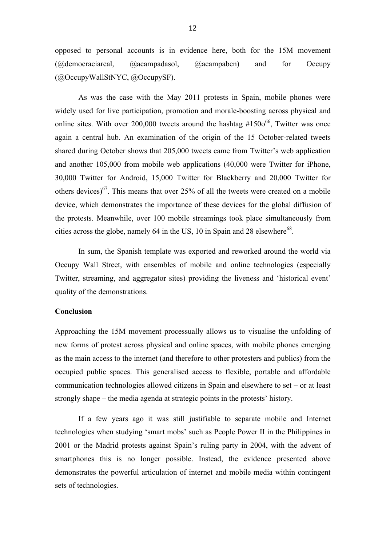opposed to personal accounts is in evidence here, both for the 15M movement (@democraciareal, @acampadasol, @acampabcn) and for Occupy (@OccupyWallStNYC, @OccupySF).

As was the case with the May 2011 protests in Spain, mobile phones were widely used for live participation, promotion and morale-boosting across physical and online sites. With over 200,000 tweets around the hashtag  $#1500^{66}$ . Twitter was once again a central hub. An examination of the origin of the 15 October-related tweets shared during October shows that 205,000 tweets came from Twitter's web application and another 105,000 from mobile web applications (40,000 were Twitter for iPhone, 30,000 Twitter for Android, 15,000 Twitter for Blackberry and 20,000 Twitter for others devices)<sup>67</sup>. This means that over 25% of all the tweets were created on a mobile device, which demonstrates the importance of these devices for the global diffusion of the protests. Meanwhile, over 100 mobile streamings took place simultaneously from cities across the globe, namely 64 in the US, 10 in Spain and 28 elsewhere<sup>68</sup>.

In sum, the Spanish template was exported and reworked around the world via Occupy Wall Street, with ensembles of mobile and online technologies (especially Twitter, streaming, and aggregator sites) providing the liveness and 'historical event' quality of the demonstrations.

## **Conclusion**

Approaching the 15M movement processually allows us to visualise the unfolding of new forms of protest across physical and online spaces, with mobile phones emerging as the main access to the internet (and therefore to other protesters and publics) from the occupied public spaces. This generalised access to flexible, portable and affordable communication technologies allowed citizens in Spain and elsewhere to set – or at least strongly shape – the media agenda at strategic points in the protests' history.

If a few years ago it was still justifiable to separate mobile and Internet technologies when studying 'smart mobs' such as People Power II in the Philippines in 2001 or the Madrid protests against Spain's ruling party in 2004, with the advent of smartphones this is no longer possible. Instead, the evidence presented above demonstrates the powerful articulation of internet and mobile media within contingent sets of technologies.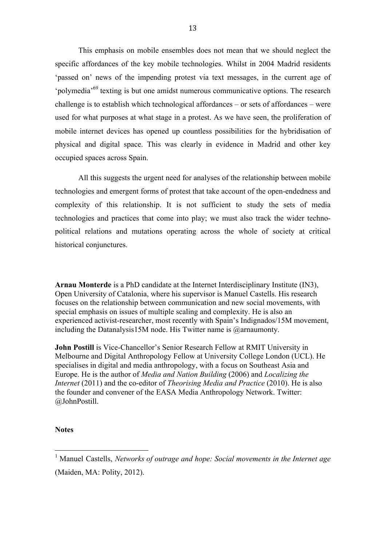This emphasis on mobile ensembles does not mean that we should neglect the specific affordances of the key mobile technologies. Whilst in 2004 Madrid residents 'passed on' news of the impending protest via text messages, in the current age of 'polymedia'<sup>69</sup> texting is but one amidst numerous communicative options. The research challenge is to establish which technological affordances – or sets of affordances – were used for what purposes at what stage in a protest. As we have seen, the proliferation of mobile internet devices has opened up countless possibilities for the hybridisation of physical and digital space. This was clearly in evidence in Madrid and other key occupied spaces across Spain.

All this suggests the urgent need for analyses of the relationship between mobile technologies and emergent forms of protest that take account of the open-endedness and complexity of this relationship. It is not sufficient to study the sets of media technologies and practices that come into play; we must also track the wider technopolitical relations and mutations operating across the whole of society at critical historical conjunctures.

**Arnau Monterde** is a PhD candidate at the Internet Interdisciplinary Institute (IN3), Open University of Catalonia, where his supervisor is Manuel Castells. His research focuses on the relationship between communication and new social movements, with special emphasis on issues of multiple scaling and complexity. He is also an experienced activist-researcher, most recently with Spain's Indignados/15M movement, including the Datanalysis15M node. His Twitter name is @arnaumonty.

**John Postill** is Vice-Chancellor's Senior Research Fellow at RMIT University in Melbourne and Digital Anthropology Fellow at University College London (UCL). He specialises in digital and media anthropology, with a focus on Southeast Asia and Europe. He is the author of *Media and Nation Building* (2006) and *Localizing the Internet* (2011) and the co-editor of *Theorising Media and Practice* (2010). He is also the founder and convener of the EASA Media Anthropology Network. Twitter: @JohnPostill.

### **Notes**

 $\overline{a}$ 

<sup>&</sup>lt;sup>1</sup> Manuel Castells, *Networks of outrage and hope: Social movements in the Internet age* (Maiden, MA: Polity, 2012).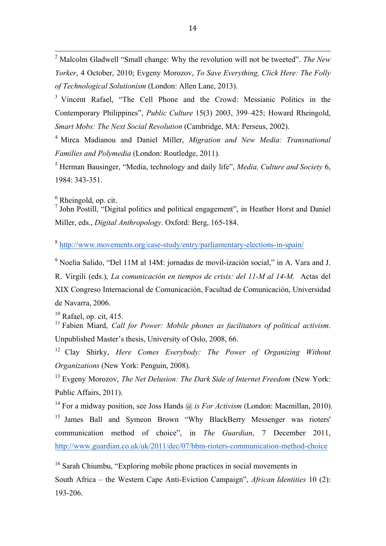<sup>2</sup> Malcolm Gladwell "Small change: Why the revolution will not be tweeted". *The New Yorker*, 4 October, 2010; Evgeny Morozov, *To Save Everything, Click Here: The Folly of Technological Solutionism* (London: Allen Lane, 2013).

<sup>3</sup> Vincent Rafael, "The Cell Phone and the Crowd: Messianic Politics in the Contemporary Philippines", *Public Culture* 15(3) 2003, 399–425; Howard Rheingold, *Smart Mobs: The Next Social Revolution* (Cambridge, MA: Perseus, 2002).

4 Mirca Madianou and Daniel Miller, *Migration and New Media: Transnational Families and Polymedia* (London: Routledge, 2011).

<sup>5</sup> Herman Bausinger, "Media, technology and daily life", *Media, Culture and Society* 6, 1984: 343-351.

 $<sup>6</sup>$  Rheingold, op. cit.</sup>

 $\overline{a}$ 

<sup>7</sup> John Postill, "Digital politics and political engagement", in Heather Horst and Daniel Miller, eds., *Digital Anthropology*. Oxford: Berg, 165-184.

<sup>8</sup> http://www.movements.org/case-study/entry/parliamentary-elections-in-spain/

<sup>9</sup> Noelia Salido, "Del 11M al 14M: jornadas de movil-ización social," in A. Vara and J. R. Virgili (eds.), *La comunicación en tiempos de crisis: del 11-M al 14-M.* Actas del XIX Congreso Internacional de Comunicación, Facultad de Comunicación, Universidad de Navarra, 2006.

 $10$  Rafael, op. cit, 415.

<sup>11</sup> Fabien Miard, *Call for Power: Mobile phones as facilitators of political activism.* Unpublished Master's thesis, University of Oslo, 2008, 66.

<sup>12</sup> Clay Shirky, *Here Comes Everybody: The Power of Organizing Without Organizations* (New York: Penguin, 2008).

<sup>13</sup> Evgeny Morozov, *The Net Delusion: The Dark Side of Internet Freedom* (New York: Public Affairs, 2011).

<sup>14</sup> For a midway position, see Joss Hands  $\omega$  is For Activism (London: Macmillan, 2010).

<sup>15</sup> James Ball and Symeon Brown "Why BlackBerry Messenger was rioters' communication method of choice", in *The Guardian*, 7 December 2011, http://www.guardian.co.uk/uk/2011/dec/07/bbm-rioters-communication-method-choice

 $16$  Sarah Chiumbu, "Exploring mobile phone practices in social movements in South Africa – the Western Cape Anti-Eviction Campaign", *African Identities* 10 (2): 193-206.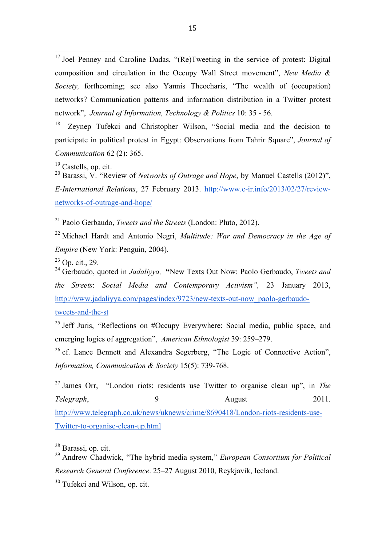<sup>17</sup> Joel Penney and Caroline Dadas, "(Re)Tweeting in the service of protest: Digital composition and circulation in the Occupy Wall Street movement", *New Media & Society,* forthcoming; see also Yannis Theocharis, "The wealth of (occupation) networks? Communication patterns and information distribution in a Twitter protest network", *Journal of Information, Technology & Politics* 10: 35 - 56.

<sup>18</sup> Zeynep Tufekci and Christopher Wilson, "Social media and the decision to participate in political protest in Egypt: Observations from Tahrir Square", *Journal of Communication* 62 (2): 365.

 $19$  Castells, op. cit.

 $\overline{a}$ 

<sup>20</sup> Barassi, V. "Review of *Networks of Outrage and Hope*, by Manuel Castells (2012)", *E-International Relations*, 27 February 2013. http://www.e-ir.info/2013/02/27/reviewnetworks-of-outrage-and-hope/

<sup>21</sup> Paolo Gerbaudo, *Tweets and the Streets* (London: Pluto, 2012).

<sup>22</sup> Michael Hardt and Antonio Negri, *Multitude: War and Democracy in the Age of Empire* (New York: Penguin, 2004).

<sup>23</sup> Op. cit., 29.

<sup>24</sup> Gerbaudo, quoted in *Jadaliyya,* **"**New Texts Out Now: Paolo Gerbaudo, *Tweets and the Streets*: *Social Media and Contemporary Activism",* 23 January 2013, http://www.jadaliyya.com/pages/index/9723/new-texts-out-now\_paolo-gerbaudo-

tweets-and-the-st

<sup>25</sup> Jeff Juris, "Reflections on  $\#$ Occupy Everywhere: Social media, public space, and emerging logics of aggregation", *American Ethnologist* 39: 259–279.

<sup>26</sup> cf. Lance Bennett and Alexandra Segerberg, "The Logic of Connective Action", *Information, Communication & Society* 15(5): 739-768.

<sup>27</sup> James Orr, "London riots: residents use Twitter to organise clean up", in *The Telegraph*, 2011. http://www.telegraph.co.uk/news/uknews/crime/8690418/London-riots-residents-use-Twitter-to-organise-clean-up.html

<sup>28</sup> Barassi, op. cit.

<sup>29</sup> Andrew Chadwick, "The hybrid media system," *European Consortium for Political Research General Conference*. 25–27 August 2010, Reykjavik, Iceland.

 $30$  Tufekci and Wilson, op. cit.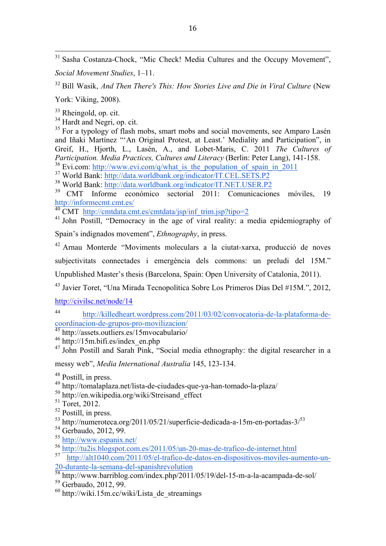$\overline{a}$ <sup>31</sup> Sasha Costanza-Chock, "Mic Check! Media Cultures and the Occupy Movement", *Social Movement Studies*, 1–11.

<sup>32</sup> Bill Wasik, *And Then There's This: How Stories Live and Die in Viral Culture* (New

York: Viking, 2008).

<sup>33</sup> Rheingold, op. cit.

<sup>34</sup> Hardt and Negri, op. cit.

<sup>35</sup> For a typology of flash mobs, smart mobs and social movements, see Amparo Lasén and Iñaki Martínez "'An Original Protest, at Least.' Mediality and Participation", in Greif, H., Hjorth, L., Lasén, A., and Lobet-Maris, C. 2011 *The Cultures of Participation. Media Practices, Cultures and Literacy* (Berlin: Peter Lang), 141-158. <sup>36</sup> Evi.com: http://www.evi.com/q/what\_is\_the\_population\_of\_spain\_in\_2011

<sup>37</sup> World Bank: http://data.worldbank.org/indicator/IT.CEL.SETS.P2

 $^{38}$  World Bank: http://data.worldbank.org/indicator/IT.NET.USER.P2<br> $^{39}$  CMT, Informal according sectorial 2011: Comunicacion

<sup>39</sup> CMT Informe económico sectorial 2011: Comunicaciones móviles, 19 http://informecmt.cmt.es/

<sup>40</sup> CMT http://cmtdata.cmt.es/cmtdata/jsp/inf\_trim.jsp?tipo=2

<sup>41</sup> John Postill, "Democracy in the age of viral reality: a media epidemiography of Spain's indignados movement", *Ethnography*, in press.

<sup>42</sup> Arnau Monterde "Moviments moleculars a la ciutat-xarxa, producció de noves subjectivitats connectades i emergència dels commons: un preludi del 15M."

Unpublished Master's thesis (Barcelona, Spain: Open University of Catalonia, 2011).

<sup>43</sup> Javier Toret, "Una Mirada Tecnopolítica Sobre Los Primeros Días Del #15M.", 2012,

http://civilsc.net/node/14

<sup>44</sup> http://killedheart.wordpress.com/2011/03/02/convocatoria-de-la-plataforma-decoordinacion-de-grupos-pro-movilizacion/

<sup>45</sup> http://assets.outliers.es/15mvocabulario/

<sup>46</sup> http://15m.bifi.es/index\_en.php

<sup>47</sup> John Postill and Sarah Pink, "Social media ethnography: the digital researcher in a

messy web", *Media International Australia* 145, 123-134.

<sup>49</sup> http://tomalaplaza.net/lista-de-ciudades-que-ya-han-tomado-la-plaza/

<sup>50</sup> http://en.wikipedia.org/wiki/Streisand\_effect

<sup>51</sup> Toret, 2012.

- $^{53}$  http://numeroteca.org/2011/05/21/superficie-dedicada-a-15m-en-portadas-3/ $^{53}$
- <sup>54</sup> Gerbaudo, 2012, 99.
- <sup>55</sup> http://www.espanix.net/
- $\frac{56}{10}$  http://tu2is.blogspot.com.es/2011/05/un-20-mas-de-trafico-de-internet.html<br> $\frac{1}{10}$  http://alt1040.com/2011/05/el-trafico-de-datos-en-dispositivos-moviles-au

<sup>57</sup> http://alt1040.com/2011/05/el-trafico-de-datos-en-dispositivos-moviles-aumento-un-20-durante-la-semana-del-spanishrevolution

 $\frac{58 \text{ http://www.barriblog.com/index.php/2011/05/19/del-15-m-a-la-acampada-de-sol/105/19/det-15-m-a-la-acampada-de-sol/105/19/det-15-m-a-la-acampada-de-sol/105/19/det-105/19/det-105/19/det-105/19/det-105/19/det-105/19/det-105/19/det-105/19/det-105/19/det-105/19/det-105/19/det-105/19/det-105/19/det-105/19/det-105/1$ 

 $60$  http://wiki.15m.cc/wiki/Lista de streamings

<sup>48</sup> Postill, in press.

<sup>52</sup> Postill, in press.

<sup>&</sup>lt;sup>59</sup> Gerbaudo, 2012, 99.